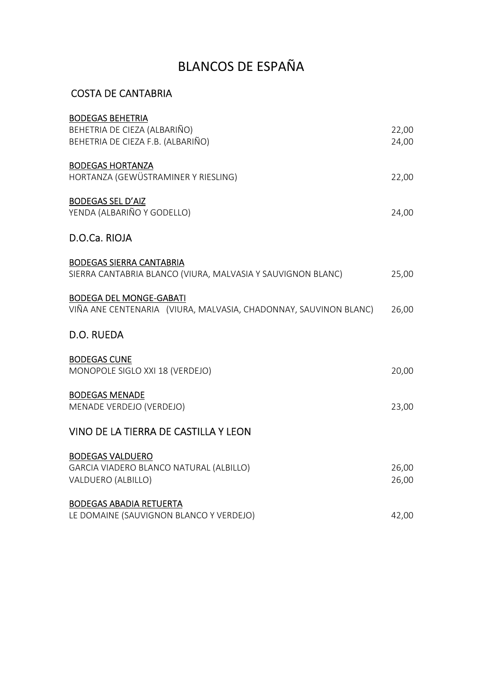## BLANCOS DE ESPAÑA

#### COSTA DE CANTABRIA

| <b>BODEGAS BEHETRIA</b>                                          |       |
|------------------------------------------------------------------|-------|
| BEHETRIA DE CIEZA (ALBARIÑO)                                     | 22,00 |
| BEHETRIA DE CIEZA F.B. (ALBARIÑO)                                | 24,00 |
| <b>BODEGAS HORTANZA</b>                                          |       |
| HORTANZA (GEWÜSTRAMINER Y RIESLING)                              | 22,00 |
|                                                                  |       |
| <b>BODEGAS SEL D'AIZ</b>                                         |       |
| YENDA (ALBARIÑO Y GODELLO)                                       | 24,00 |
| D.O.Ca. RIOJA                                                    |       |
| <b>BODEGAS SIERRA CANTABRIA</b>                                  |       |
| SIERRA CANTABRIA BLANCO (VIURA, MALVASIA Y SAUVIGNON BLANC)      | 25,00 |
|                                                                  |       |
| <b>BODEGA DEL MONGE-GABATI</b>                                   |       |
| VIÑA ANE CENTENARIA (VIURA, MALVASIA, CHADONNAY, SAUVINON BLANC) | 26,00 |
| D.O. RUEDA                                                       |       |
| <b>BODEGAS CUNE</b>                                              |       |
| MONOPOLE SIGLO XXI 18 (VERDEJO)                                  | 20,00 |
|                                                                  |       |
| <b>BODEGAS MENADE</b>                                            |       |
| MENADE VERDEJO (VERDEJO)                                         | 23,00 |
| VINO DE LA TIERRA DE CASTILLA Y LEON                             |       |
| <b>BODEGAS VALDUERO</b>                                          |       |
| GARCIA VIADERO BLANCO NATURAL (ALBILLO)                          | 26,00 |
| VALDUERO (ALBILLO)                                               | 26,00 |
|                                                                  |       |
| <b>BODEGAS ABADIA RETUERTA</b>                                   |       |
| LE DOMAINE (SAUVIGNON BLANCO Y VERDEJO)                          | 42,00 |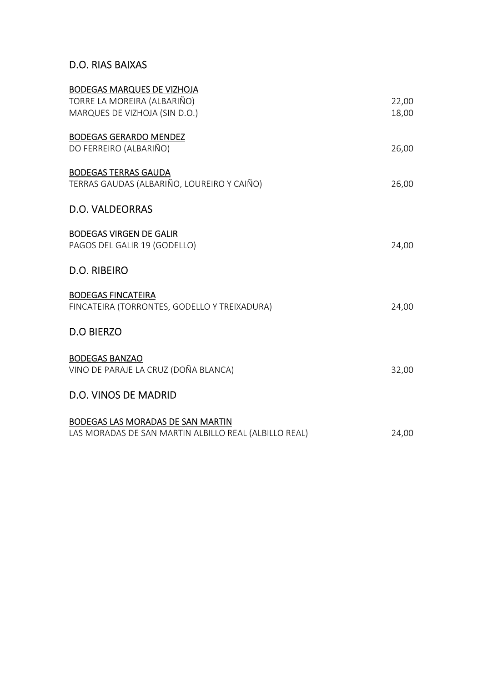#### D.O. RIAS BAIXAS

| <b>BODEGAS MARQUES DE VIZHOJA</b><br>TORRE LA MOREIRA (ALBARIÑO)<br>MARQUES DE VIZHOJA (SIN D.O.) | 22,00<br>18,00 |
|---------------------------------------------------------------------------------------------------|----------------|
| <b>BODEGAS GERARDO MENDEZ</b><br>DO FERREIRO (ALBARIÑO)                                           | 26,00          |
| <b>BODEGAS TERRAS GAUDA</b><br>TERRAS GAUDAS (ALBARIÑO, LOUREIRO Y CAIÑO)                         | 26,00          |
| D.O. VALDEORRAS                                                                                   |                |
| <b>BODEGAS VIRGEN DE GALIR</b><br>PAGOS DEL GALIR 19 (GODELLO)                                    | 24,00          |
| D.O. RIBEIRO                                                                                      |                |
| <b>BODEGAS FINCATEIRA</b><br>FINCATEIRA (TORRONTES, GODELLO Y TREIXADURA)                         | 24,00          |
| <b>D.O BIERZO</b>                                                                                 |                |
| <b>BODEGAS BANZAO</b><br>VINO DE PARAJE LA CRUZ (DOÑA BLANCA)                                     | 32,00          |
| <b>D.O. VINOS DE MADRID</b>                                                                       |                |
| BODEGAS LAS MORADAS DE SAN MARTIN<br>LAS MORADAS DE SAN MARTIN ALBILLO REAL (ALBILLO REAL)        | 24,00          |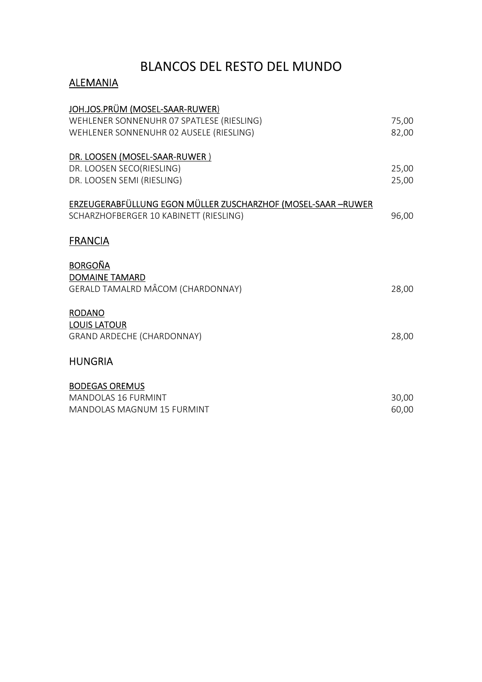### BLANCOS DEL RESTO DEL MUNDO

#### **ALEMANIA**

| JOH.JOS.PRÜM (MOSEL-SAAR-RUWER)                              |       |
|--------------------------------------------------------------|-------|
| WEHLENER SONNENUHR 07 SPATLESE (RIESLING)                    | 75,00 |
| WEHLENER SONNENUHR 02 AUSELE (RIESLING)                      | 82,00 |
| DR. LOOSEN (MOSEL-SAAR-RUWER)                                |       |
| DR. LOOSEN SECO(RIESLING)                                    | 25,00 |
| DR. LOOSEN SEMI (RIESLING)                                   | 25,00 |
| ERZEUGERABFÜLLUNG EGON MÜLLER ZUSCHARZHOF (MOSEL-SAAR -RUWER |       |
| SCHARZHOFBERGER 10 KABINETT (RIESLING)                       | 96,00 |
| <b>FRANCIA</b>                                               |       |
| <b>BORGOÑA</b>                                               |       |
| <b>DOMAINE TAMARD</b>                                        |       |
| GERALD TAMALRD MÂCOM (CHARDONNAY)                            | 28,00 |
| <b>RODANO</b>                                                |       |
| <b>LOUIS LATOUR</b>                                          |       |
| <b>GRAND ARDECHE (CHARDONNAY)</b>                            | 28,00 |
| <b>HUNGRIA</b>                                               |       |
| <b>BODEGAS OREMUS</b>                                        |       |
| <b>MANDOLAS 16 FURMINT</b>                                   | 30,00 |
| <b>MANDOLAS MAGNUM 15 FURMINT</b>                            | 60,00 |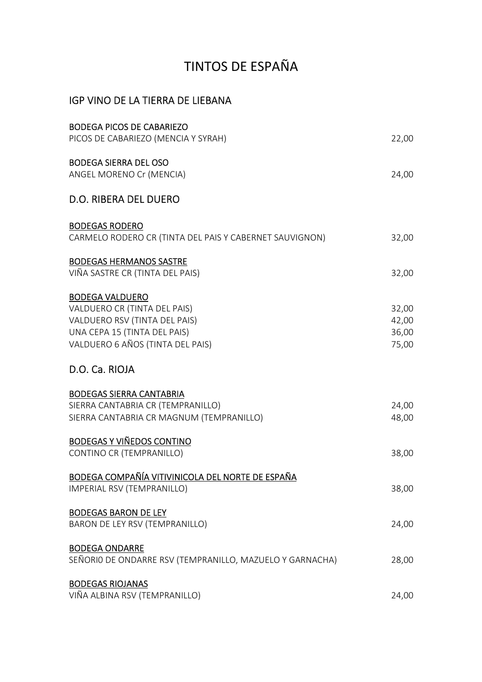# TINTOS DE ESPAÑA

#### IGP VINO DE LA TIERRA DE LIEBANA

| <b>BODEGA PICOS DE CABARIEZO</b>                         |       |
|----------------------------------------------------------|-------|
| PICOS DE CABARIEZO (MENCIA Y SYRAH)                      | 22,00 |
| <b>BODEGA SIERRA DEL OSO</b>                             |       |
| ANGEL MORENO Cr (MENCIA)                                 | 24,00 |
| <b>D.O. RIBERA DEL DUERO</b>                             |       |
| <b>BODEGAS RODERO</b>                                    |       |
| CARMELO RODERO CR (TINTA DEL PAIS Y CABERNET SAUVIGNON)  | 32,00 |
| <b>BODEGAS HERMANOS SASTRE</b>                           |       |
| VIÑA SASTRE CR (TINTA DEL PAIS)                          | 32,00 |
| <b>BODEGA VALDUERO</b>                                   |       |
| VALDUERO CR (TINTA DEL PAIS)                             | 32,00 |
| VALDUERO RSV (TINTA DEL PAIS)                            | 42,00 |
| UNA CEPA 15 (TINTA DEL PAIS)                             | 36,00 |
| VALDUERO 6 AÑOS (TINTA DEL PAIS)                         | 75,00 |
| D.O. Ca. RIOJA                                           |       |
| <b>BODEGAS SIERRA CANTABRIA</b>                          |       |
| SIERRA CANTABRIA CR (TEMPRANILLO)                        | 24,00 |
| SIERRA CANTABRIA CR MAGNUM (TEMPRANILLO)                 | 48,00 |
| <b>BODEGAS Y VIÑEDOS CONTINO</b>                         |       |
| CONTINO CR (TEMPRANILLO)                                 | 38,00 |
| BODEGA COMPAÑÍA VITIVINICOLA DEL NORTE DE ESPAÑA         |       |
| IMPERIAL RSV (TEMPRANILLO)                               | 38,00 |
| <b>BODEGAS BARON DE LEY</b>                              |       |
| BARON DE LEY RSV (TEMPRANILLO)                           | 24,00 |
| <b>BODEGA ONDARRE</b>                                    |       |
| SEÑORIO DE ONDARRE RSV (TEMPRANILLO, MAZUELO Y GARNACHA) | 28,00 |
| <b>BODEGAS RIOJANAS</b>                                  |       |
| VIÑA ALBINA RSV (TEMPRANILLO)                            | 24,00 |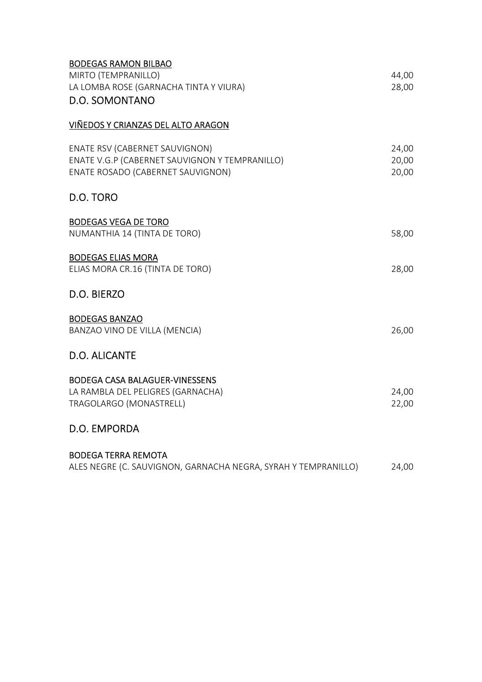| BUDEGAS KAMUN BILBAU<br>MIRTO (TEMPRANILLO)<br>LA LOMBA ROSE (GARNACHA TINTA Y VIURA)<br><b>D.O. SOMONTANO</b>        | 44,00<br>28,00          |
|-----------------------------------------------------------------------------------------------------------------------|-------------------------|
| VIÑEDOS Y CRIANZAS DEL ALTO ARAGON                                                                                    |                         |
| ENATE RSV (CABERNET SAUVIGNON)<br>ENATE V.G.P (CABERNET SAUVIGNON Y TEMPRANILLO)<br>ENATE ROSADO (CABERNET SAUVIGNON) | 24,00<br>20,00<br>20,00 |
| D.O. TORO                                                                                                             |                         |
| <b>BODEGAS VEGA DE TORO</b><br>NUMANTHIA 14 (TINTA DE TORO)                                                           | 58,00                   |
| <b>BODEGAS ELIAS MORA</b><br>ELIAS MORA CR.16 (TINTA DE TORO)                                                         | 28,00                   |
| D.O. BIERZO                                                                                                           |                         |
| <b>BODEGAS BANZAO</b><br>BANZAO VINO DE VILLA (MENCIA)                                                                | 26,00                   |
| <b>D.O. ALICANTE</b>                                                                                                  |                         |
| <b>BODEGA CASA BALAGUER-VINESSENS</b><br>LA RAMBLA DEL PELIGRES (GARNACHA)<br>TRAGOLARGO (MONASTRELL)                 | 24,00<br>22,00          |
| D.O. EMPORDA                                                                                                          |                         |
| <b>BODEGA TERRA REMOTA</b><br>ALES NEGRE (C. SAUVIGNON, GARNACHA NEGRA, SYRAH Y TEMPRANILLO)                          | 24,00                   |